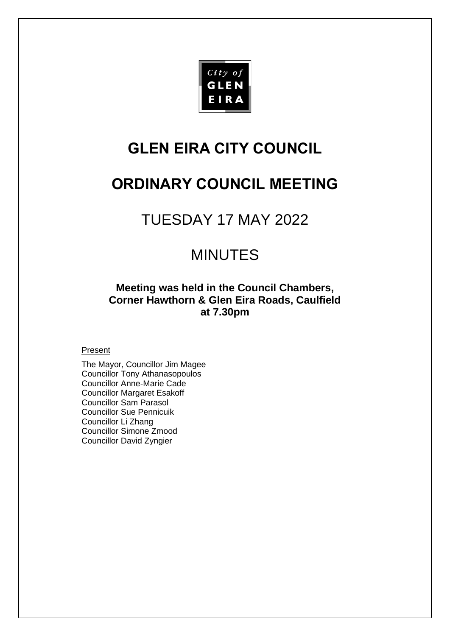

# **GLEN EIRA CITY COUNCIL**

# **ORDINARY COUNCIL MEETING**

# TUESDAY 17 MAY 2022

# MINUTES

**Meeting was held in the Council Chambers, Corner Hawthorn & Glen Eira Roads, Caulfield at 7.30pm**

# **Present**

The Mayor, Councillor Jim Magee Councillor Tony Athanasopoulos Councillor Anne-Marie Cade Councillor Margaret Esakoff Councillor Sam Parasol Councillor Sue Pennicuik Councillor Li Zhang Councillor Simone Zmood Councillor David Zyngier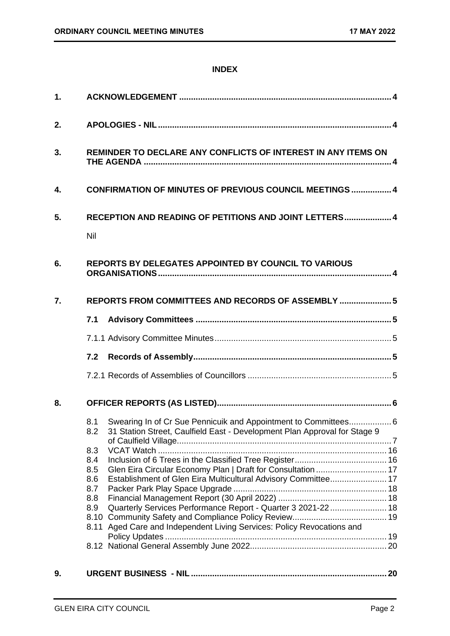# **INDEX**

| 1. |                                                                                                                                                                                                                                                                                                                                                                                                                                                                                                    |  |  |
|----|----------------------------------------------------------------------------------------------------------------------------------------------------------------------------------------------------------------------------------------------------------------------------------------------------------------------------------------------------------------------------------------------------------------------------------------------------------------------------------------------------|--|--|
| 2. |                                                                                                                                                                                                                                                                                                                                                                                                                                                                                                    |  |  |
| 3. | REMINDER TO DECLARE ANY CONFLICTS OF INTEREST IN ANY ITEMS ON                                                                                                                                                                                                                                                                                                                                                                                                                                      |  |  |
| 4. | <b>CONFIRMATION OF MINUTES OF PREVIOUS COUNCIL MEETINGS  4</b>                                                                                                                                                                                                                                                                                                                                                                                                                                     |  |  |
| 5. | RECEPTION AND READING OF PETITIONS AND JOINT LETTERS 4<br>Nil                                                                                                                                                                                                                                                                                                                                                                                                                                      |  |  |
| 6. | <b>REPORTS BY DELEGATES APPOINTED BY COUNCIL TO VARIOUS</b>                                                                                                                                                                                                                                                                                                                                                                                                                                        |  |  |
| 7. | REPORTS FROM COMMITTEES AND RECORDS OF ASSEMBLY  5                                                                                                                                                                                                                                                                                                                                                                                                                                                 |  |  |
|    | 7.1                                                                                                                                                                                                                                                                                                                                                                                                                                                                                                |  |  |
|    |                                                                                                                                                                                                                                                                                                                                                                                                                                                                                                    |  |  |
|    | 7.2                                                                                                                                                                                                                                                                                                                                                                                                                                                                                                |  |  |
|    |                                                                                                                                                                                                                                                                                                                                                                                                                                                                                                    |  |  |
| 8. |                                                                                                                                                                                                                                                                                                                                                                                                                                                                                                    |  |  |
|    | Swearing In of Cr Sue Pennicuik and Appointment to Committees 6<br>8.1<br>31 Station Street, Caulfield East - Development Plan Approval for Stage 9<br>8.2<br>8.3<br>8.4<br>Glen Eira Circular Economy Plan   Draft for Consultation  17<br>8.5<br>Establishment of Glen Eira Multicultural Advisory Committee 17<br>8.6<br>8.7<br>8.8<br>Quarterly Services Performance Report - Quarter 3 2021-22 18<br>8.9<br>8.10<br>Aged Care and Independent Living Services: Policy Revocations and<br>8.11 |  |  |
| 9. |                                                                                                                                                                                                                                                                                                                                                                                                                                                                                                    |  |  |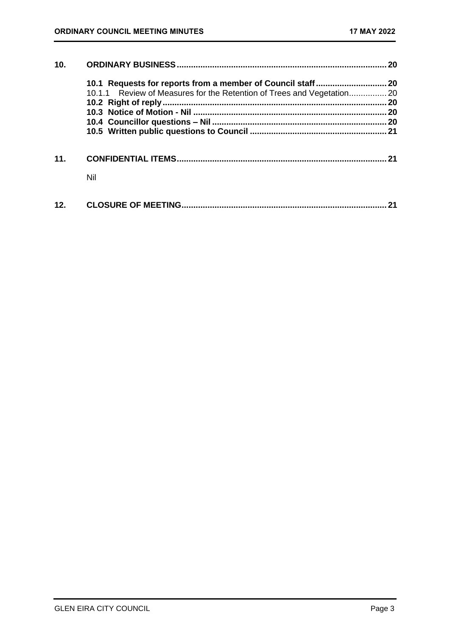| 10. |                                                                        | 20 |
|-----|------------------------------------------------------------------------|----|
|     |                                                                        |    |
|     | 10.1.1 Review of Measures for the Retention of Trees and Vegetation 20 |    |
|     |                                                                        |    |
|     |                                                                        |    |
|     |                                                                        |    |
|     |                                                                        |    |
| 11. |                                                                        | 21 |
|     | Nil                                                                    |    |
| 12. |                                                                        |    |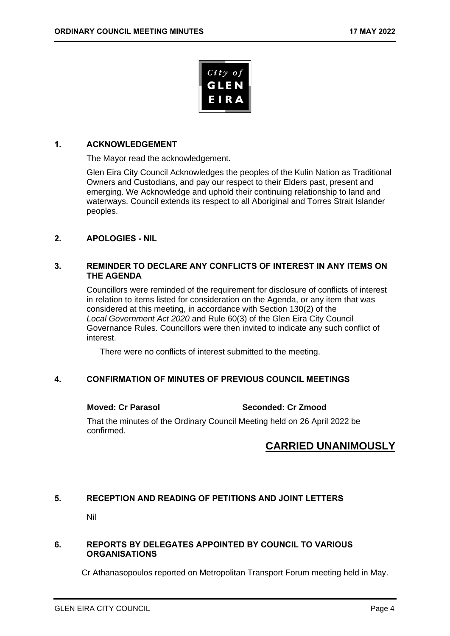

# <span id="page-3-0"></span>**1. ACKNOWLEDGEMENT**

The Mayor read the acknowledgement.

Glen Eira City Council Acknowledges the peoples of the Kulin Nation as Traditional Owners and Custodians, and pay our respect to their Elders past, present and emerging. We Acknowledge and uphold their continuing relationship to land and waterways. Council extends its respect to all Aboriginal and Torres Strait Islander peoples.

# <span id="page-3-2"></span><span id="page-3-1"></span>**2. APOLOGIES - NIL**

# **3. REMINDER TO DECLARE ANY CONFLICTS OF INTEREST IN ANY ITEMS ON THE AGENDA**

Councillors were reminded of the requirement for disclosure of conflicts of interest in relation to items listed for consideration on the Agenda, or any item that was considered at this meeting, in accordance with Section 130(2) of the *Local Government Act 2020* and Rule 60(3) of the Glen Eira City Council Governance Rules. Councillors were then invited to indicate any such conflict of interest.

There were no conflicts of interest submitted to the meeting.

# <span id="page-3-3"></span>**4. CONFIRMATION OF MINUTES OF PREVIOUS COUNCIL MEETINGS**

**Moved: Cr Parasol Seconded: Cr Zmood**

That the minutes of the Ordinary Council Meeting held on 26 April 2022 be confirmed.

# **CARRIED UNANIMOUSLY**

# <span id="page-3-5"></span><span id="page-3-4"></span>**5. RECEPTION AND READING OF PETITIONS AND JOINT LETTERS**

Nil

# <span id="page-3-6"></span>**6. REPORTS BY DELEGATES APPOINTED BY COUNCIL TO VARIOUS ORGANISATIONS**

Cr Athanasopoulos reported on Metropolitan Transport Forum meeting held in May.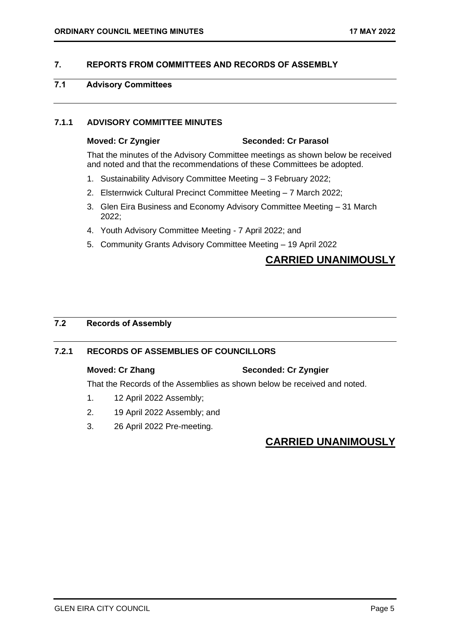# <span id="page-4-2"></span><span id="page-4-0"></span>**7. REPORTS FROM COMMITTEES AND RECORDS OF ASSEMBLY**

# <span id="page-4-1"></span>**7.1 Advisory Committees**

# **7.1.1 ADVISORY COMMITTEE MINUTES**

# **Moved: Cr Zyngier Seconded: Cr Parasol**

That the minutes of the Advisory Committee meetings as shown below be received and noted and that the recommendations of these Committees be adopted.

- 1. Sustainability Advisory Committee Meeting 3 February 2022;
- 2. Elsternwick Cultural Precinct Committee Meeting 7 March 2022;
- 3. Glen Eira Business and Economy Advisory Committee Meeting 31 March 2022;
- 4. Youth Advisory Committee Meeting 7 April 2022; and
- 5. Community Grants Advisory Committee Meeting 19 April 2022

# **CARRIED UNANIMOUSLY**

# <span id="page-4-3"></span>**7.2 Records of Assembly**

# **7.2.1 RECORDS OF ASSEMBLIES OF COUNCILLORS**

# **Moved: Cr Zhang Seconded: Cr Zyngier**

That the Records of the Assemblies as shown below be received and noted.

- 1. 12 April 2022 Assembly;
- 2. 19 April 2022 Assembly; and
- 3. 26 April 2022 Pre-meeting.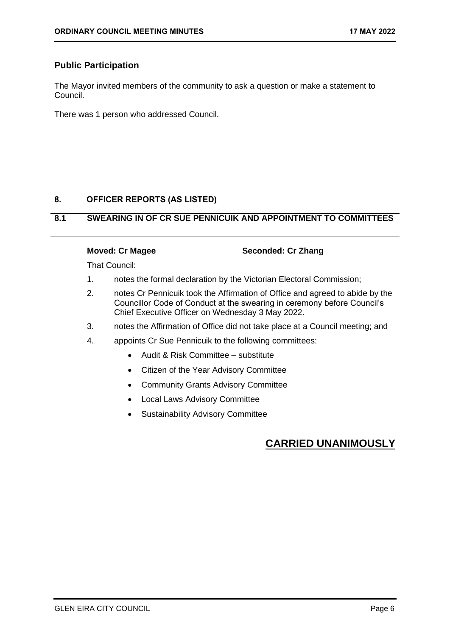# <span id="page-5-1"></span>**Public Participation**

The Mayor invited members of the community to ask a question or make a statement to Council.

There was 1 person who addressed Council.

# <span id="page-5-0"></span>**8. OFFICER REPORTS (AS LISTED)**

# **8.1 SWEARING IN OF CR SUE PENNICUIK AND APPOINTMENT TO COMMITTEES**

# **Moved: Cr Magee Seconded: Cr Zhang**

That Council:

- 1. notes the formal declaration by the Victorian Electoral Commission;
- 2. notes Cr Pennicuik took the Affirmation of Office and agreed to abide by the Councillor Code of Conduct at the swearing in ceremony before Council's Chief Executive Officer on Wednesday 3 May 2022.
- 3. notes the Affirmation of Office did not take place at a Council meeting; and
- 4. appoints Cr Sue Pennicuik to the following committees:
	- Audit & Risk Committee substitute
	- Citizen of the Year Advisory Committee
	- Community Grants Advisory Committee
	- Local Laws Advisory Committee
	- Sustainability Advisory Committee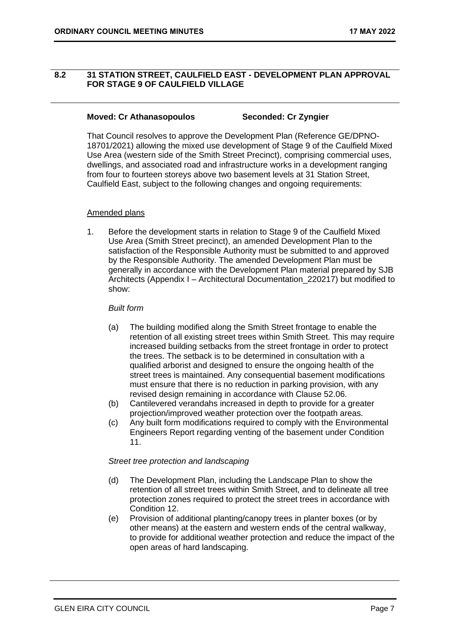# <span id="page-6-0"></span>**8.2 31 STATION STREET, CAULFIELD EAST - DEVELOPMENT PLAN APPROVAL FOR STAGE 9 OF CAULFIELD VILLAGE**

### **Moved: Cr Athanasopoulos Seconded: Cr Zyngier**

That Council resolves to approve the Development Plan (Reference GE/DPNO-18701/2021) allowing the mixed use development of Stage 9 of the Caulfield Mixed Use Area (western side of the Smith Street Precinct), comprising commercial uses, dwellings, and associated road and infrastructure works in a development ranging from four to fourteen storeys above two basement levels at 31 Station Street, Caulfield East, subject to the following changes and ongoing requirements:

# Amended plans

1. Before the development starts in relation to Stage 9 of the Caulfield Mixed Use Area (Smith Street precinct), an amended Development Plan to the satisfaction of the Responsible Authority must be submitted to and approved by the Responsible Authority. The amended Development Plan must be generally in accordance with the Development Plan material prepared by SJB Architects (Appendix I – Architectural Documentation\_220217) but modified to show:

### *Built form*

- (a) The building modified along the Smith Street frontage to enable the retention of all existing street trees within Smith Street. This may require increased building setbacks from the street frontage in order to protect the trees. The setback is to be determined in consultation with a qualified arborist and designed to ensure the ongoing health of the street trees is maintained. Any consequential basement modifications must ensure that there is no reduction in parking provision, with any revised design remaining in accordance with Clause 52.06.
- (b) Cantilevered verandahs increased in depth to provide for a greater projection/improved weather protection over the footpath areas.
- (c) Any built form modifications required to comply with the Environmental Engineers Report regarding venting of the basement under Condition 11.

### *Street tree protection and landscaping*

- (d) The Development Plan, including the Landscape Plan to show the retention of all street trees within Smith Street, and to delineate all tree protection zones required to protect the street trees in accordance with Condition 12.
- (e) Provision of additional planting/canopy trees in planter boxes (or by other means) at the eastern and western ends of the central walkway, to provide for additional weather protection and reduce the impact of the open areas of hard landscaping.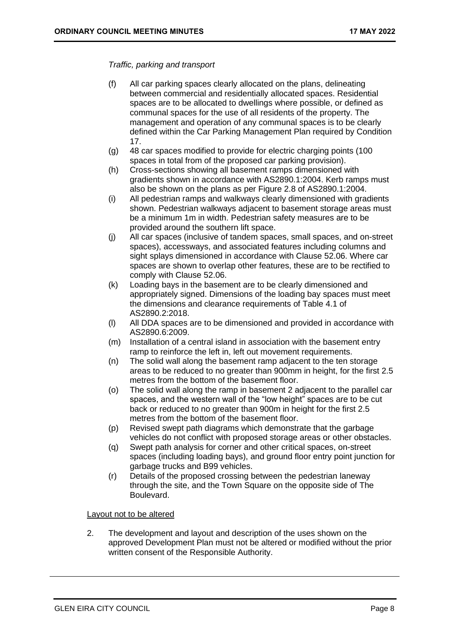# *Traffic, parking and transport*

- (f) All car parking spaces clearly allocated on the plans, delineating between commercial and residentially allocated spaces. Residential spaces are to be allocated to dwellings where possible, or defined as communal spaces for the use of all residents of the property. The management and operation of any communal spaces is to be clearly defined within the Car Parking Management Plan required by Condition 17.
- (g) 48 car spaces modified to provide for electric charging points (100 spaces in total from of the proposed car parking provision).
- (h) Cross-sections showing all basement ramps dimensioned with gradients shown in accordance with AS2890.1:2004. Kerb ramps must also be shown on the plans as per Figure 2.8 of AS2890.1:2004.
- (i) All pedestrian ramps and walkways clearly dimensioned with gradients shown. Pedestrian walkways adjacent to basement storage areas must be a minimum 1m in width. Pedestrian safety measures are to be provided around the southern lift space.
- (j) All car spaces (inclusive of tandem spaces, small spaces, and on-street spaces), accessways, and associated features including columns and sight splays dimensioned in accordance with Clause 52.06. Where car spaces are shown to overlap other features, these are to be rectified to comply with Clause 52.06.
- (k) Loading bays in the basement are to be clearly dimensioned and appropriately signed. Dimensions of the loading bay spaces must meet the dimensions and clearance requirements of Table 4.1 of AS2890.2:2018.
- (l) All DDA spaces are to be dimensioned and provided in accordance with AS2890.6:2009.
- (m) Installation of a central island in association with the basement entry ramp to reinforce the left in, left out movement requirements.
- (n) The solid wall along the basement ramp adjacent to the ten storage areas to be reduced to no greater than 900mm in height, for the first 2.5 metres from the bottom of the basement floor.
- (o) The solid wall along the ramp in basement 2 adjacent to the parallel car spaces, and the western wall of the "low height" spaces are to be cut back or reduced to no greater than 900m in height for the first 2.5 metres from the bottom of the basement floor.
- (p) Revised swept path diagrams which demonstrate that the garbage vehicles do not conflict with proposed storage areas or other obstacles.
- (q) Swept path analysis for corner and other critical spaces, on-street spaces (including loading bays), and ground floor entry point junction for garbage trucks and B99 vehicles.
- (r) Details of the proposed crossing between the pedestrian laneway through the site, and the Town Square on the opposite side of The Boulevard.

### Layout not to be altered

2. The development and layout and description of the uses shown on the approved Development Plan must not be altered or modified without the prior written consent of the Responsible Authority.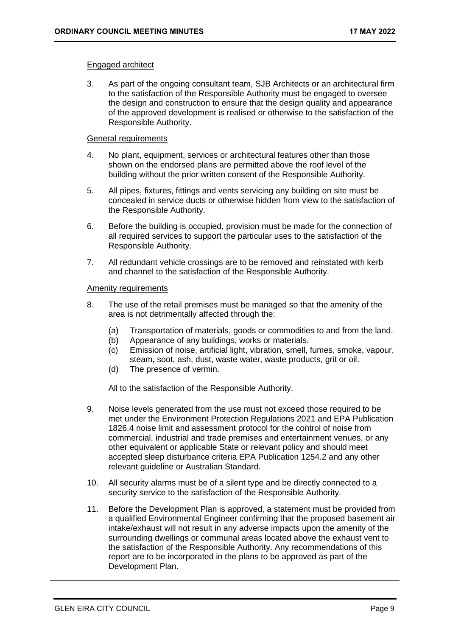# Engaged architect

3. As part of the ongoing consultant team, SJB Architects or an architectural firm to the satisfaction of the Responsible Authority must be engaged to oversee the design and construction to ensure that the design quality and appearance of the approved development is realised or otherwise to the satisfaction of the Responsible Authority.

# General requirements

- 4. No plant, equipment, services or architectural features other than those shown on the endorsed plans are permitted above the roof level of the building without the prior written consent of the Responsible Authority.
- 5. All pipes, fixtures, fittings and vents servicing any building on site must be concealed in service ducts or otherwise hidden from view to the satisfaction of the Responsible Authority.
- 6. Before the building is occupied, provision must be made for the connection of all required services to support the particular uses to the satisfaction of the Responsible Authority.
- 7. All redundant vehicle crossings are to be removed and reinstated with kerb and channel to the satisfaction of the Responsible Authority.

# Amenity requirements

- 8. The use of the retail premises must be managed so that the amenity of the area is not detrimentally affected through the:
	- (a) Transportation of materials, goods or commodities to and from the land.
	- (b) Appearance of any buildings, works or materials.
	- (c) Emission of noise, artificial light, vibration, smell, fumes, smoke, vapour, steam, soot, ash, dust, waste water, waste products, grit or oil.
	- (d) The presence of vermin.

All to the satisfaction of the Responsible Authority.

- 9. Noise levels generated from the use must not exceed those required to be met under the Environment Protection Regulations 2021 and EPA Publication 1826.4 noise limit and assessment protocol for the control of noise from commercial, industrial and trade premises and entertainment venues, or any other equivalent or applicable State or relevant policy and should meet accepted sleep disturbance criteria EPA Publication 1254.2 and any other relevant guideline or Australian Standard.
- 10. All security alarms must be of a silent type and be directly connected to a security service to the satisfaction of the Responsible Authority.
- 11. Before the Development Plan is approved, a statement must be provided from a qualified Environmental Engineer confirming that the proposed basement air intake/exhaust will not result in any adverse impacts upon the amenity of the surrounding dwellings or communal areas located above the exhaust vent to the satisfaction of the Responsible Authority. Any recommendations of this report are to be incorporated in the plans to be approved as part of the Development Plan.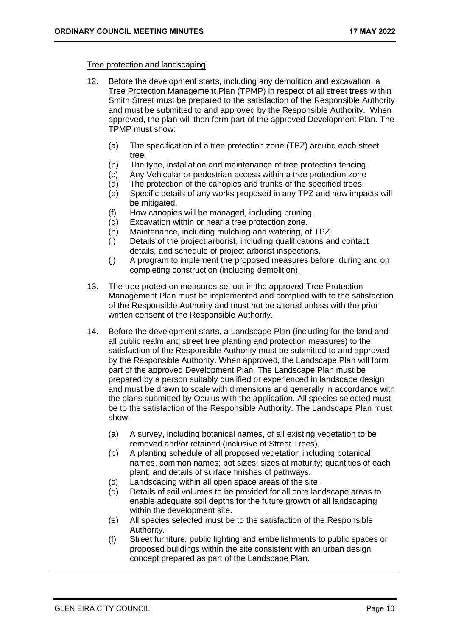# Tree protection and landscaping

- 12. Before the development starts, including any demolition and excavation, a Tree Protection Management Plan (TPMP) in respect of all street trees within Smith Street must be prepared to the satisfaction of the Responsible Authority and must be submitted to and approved by the Responsible Authority. When approved, the plan will then form part of the approved Development Plan. The TPMP must show:
	- (a) The specification of a tree protection zone (TPZ) around each street tree.
	- (b) The type, installation and maintenance of tree protection fencing.
	- (c) Any Vehicular or pedestrian access within a tree protection zone
	- (d) The protection of the canopies and trunks of the specified trees.
	- (e) Specific details of any works proposed in any TPZ and how impacts will be mitigated.
	- (f) How canopies will be managed, including pruning.
	- (g) Excavation within or near a tree protection zone.
	- (h) Maintenance, including mulching and watering, of TPZ.
	- (i) Details of the project arborist, including qualifications and contact details, and schedule of project arborist inspections.
	- (j) A program to implement the proposed measures before, during and on completing construction (including demolition).
- 13. The tree protection measures set out in the approved Tree Protection Management Plan must be implemented and complied with to the satisfaction of the Responsible Authority and must not be altered unless with the prior written consent of the Responsible Authority.
- 14. Before the development starts, a Landscape Plan (including for the land and all public realm and street tree planting and protection measures) to the satisfaction of the Responsible Authority must be submitted to and approved by the Responsible Authority. When approved, the Landscape Plan will form part of the approved Development Plan. The Landscape Plan must be prepared by a person suitably qualified or experienced in landscape design and must be drawn to scale with dimensions and generally in accordance with the plans submitted by Oculus with the application. All species selected must be to the satisfaction of the Responsible Authority. The Landscape Plan must show:
	- (a) A survey, including botanical names, of all existing vegetation to be removed and/or retained (inclusive of Street Trees).
	- (b) A planting schedule of all proposed vegetation including botanical names, common names; pot sizes; sizes at maturity; quantities of each plant; and details of surface finishes of pathways.
	- (c) Landscaping within all open space areas of the site.
	- (d) Details of soil volumes to be provided for all core landscape areas to enable adequate soil depths for the future growth of all landscaping within the development site.
	- (e) All species selected must be to the satisfaction of the Responsible Authority.
	- (f) Street furniture, public lighting and embellishments to public spaces or proposed buildings within the site consistent with an urban design concept prepared as part of the Landscape Plan.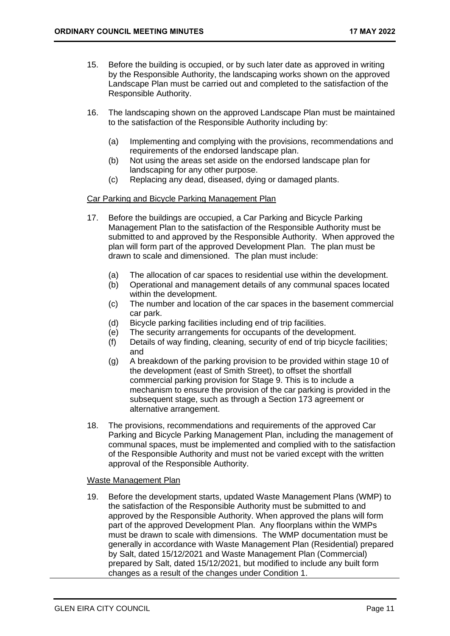- 15. Before the building is occupied, or by such later date as approved in writing by the Responsible Authority, the landscaping works shown on the approved Landscape Plan must be carried out and completed to the satisfaction of the Responsible Authority.
- 16. The landscaping shown on the approved Landscape Plan must be maintained to the satisfaction of the Responsible Authority including by:
	- (a) Implementing and complying with the provisions, recommendations and requirements of the endorsed landscape plan.
	- (b) Not using the areas set aside on the endorsed landscape plan for landscaping for any other purpose.
	- (c) Replacing any dead, diseased, dying or damaged plants.

### Car Parking and Bicycle Parking Management Plan

- 17. Before the buildings are occupied, a Car Parking and Bicycle Parking Management Plan to the satisfaction of the Responsible Authority must be submitted to and approved by the Responsible Authority. When approved the plan will form part of the approved Development Plan. The plan must be drawn to scale and dimensioned. The plan must include:
	- (a) The allocation of car spaces to residential use within the development.
	- (b) Operational and management details of any communal spaces located within the development.
	- (c) The number and location of the car spaces in the basement commercial car park.
	- (d) Bicycle parking facilities including end of trip facilities.
	- (e) The security arrangements for occupants of the development.
	- (f) Details of way finding, cleaning, security of end of trip bicycle facilities; and
	- (g) A breakdown of the parking provision to be provided within stage 10 of the development (east of Smith Street), to offset the shortfall commercial parking provision for Stage 9. This is to include a mechanism to ensure the provision of the car parking is provided in the subsequent stage, such as through a Section 173 agreement or alternative arrangement.
- 18. The provisions, recommendations and requirements of the approved Car Parking and Bicycle Parking Management Plan, including the management of communal spaces, must be implemented and complied with to the satisfaction of the Responsible Authority and must not be varied except with the written approval of the Responsible Authority.

### Waste Management Plan

19. Before the development starts, updated Waste Management Plans (WMP) to the satisfaction of the Responsible Authority must be submitted to and approved by the Responsible Authority. When approved the plans will form part of the approved Development Plan. Any floorplans within the WMPs must be drawn to scale with dimensions. The WMP documentation must be generally in accordance with Waste Management Plan (Residential) prepared by Salt, dated 15/12/2021 and Waste Management Plan (Commercial) prepared by Salt, dated 15/12/2021, but modified to include any built form changes as a result of the changes under Condition 1.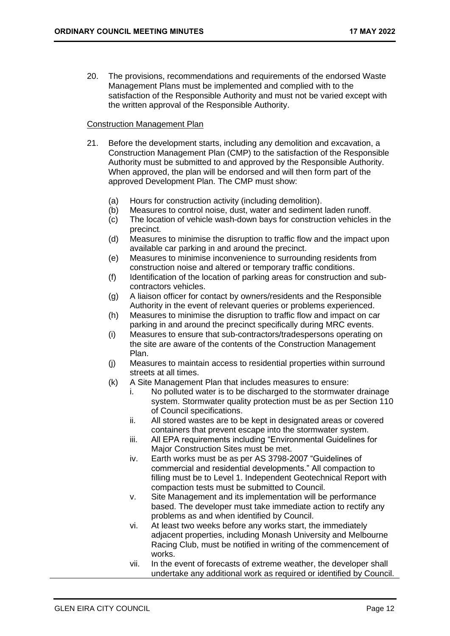20. The provisions, recommendations and requirements of the endorsed Waste Management Plans must be implemented and complied with to the satisfaction of the Responsible Authority and must not be varied except with the written approval of the Responsible Authority.

# Construction Management Plan

- 21. Before the development starts, including any demolition and excavation, a Construction Management Plan (CMP) to the satisfaction of the Responsible Authority must be submitted to and approved by the Responsible Authority. When approved, the plan will be endorsed and will then form part of the approved Development Plan. The CMP must show:
	- (a) Hours for construction activity (including demolition).
	- (b) Measures to control noise, dust, water and sediment laden runoff.
	- (c) The location of vehicle wash-down bays for construction vehicles in the precinct.
	- (d) Measures to minimise the disruption to traffic flow and the impact upon available car parking in and around the precinct.
	- (e) Measures to minimise inconvenience to surrounding residents from construction noise and altered or temporary traffic conditions.
	- (f) Identification of the location of parking areas for construction and subcontractors vehicles.
	- (g) A liaison officer for contact by owners/residents and the Responsible Authority in the event of relevant queries or problems experienced.
	- (h) Measures to minimise the disruption to traffic flow and impact on car parking in and around the precinct specifically during MRC events.
	- (i) Measures to ensure that sub-contractors/tradespersons operating on the site are aware of the contents of the Construction Management Plan.
	- (j) Measures to maintain access to residential properties within surround streets at all times.
	- (k) A Site Management Plan that includes measures to ensure:
		- i. No polluted water is to be discharged to the stormwater drainage system. Stormwater quality protection must be as per Section 110 of Council specifications.
		- ii. All stored wastes are to be kept in designated areas or covered containers that prevent escape into the stormwater system.
		- iii. All EPA requirements including "Environmental Guidelines for Major Construction Sites must be met.
		- iv. Earth works must be as per AS 3798-2007 "Guidelines of commercial and residential developments." All compaction to filling must be to Level 1. Independent Geotechnical Report with compaction tests must be submitted to Council.
		- v. Site Management and its implementation will be performance based. The developer must take immediate action to rectify any problems as and when identified by Council.
		- vi. At least two weeks before any works start, the immediately adjacent properties, including Monash University and Melbourne Racing Club, must be notified in writing of the commencement of works.
		- vii. In the event of forecasts of extreme weather, the developer shall undertake any additional work as required or identified by Council.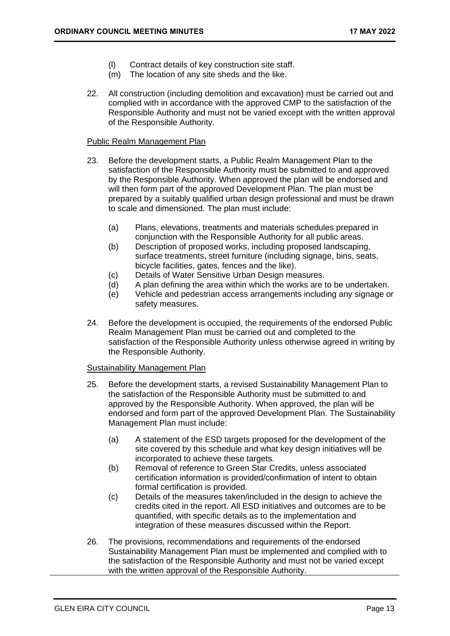- (l) Contract details of key construction site staff.
- (m) The location of any site sheds and the like.
- 22. All construction (including demolition and excavation) must be carried out and complied with in accordance with the approved CMP to the satisfaction of the Responsible Authority and must not be varied except with the written approval of the Responsible Authority.

# Public Realm Management Plan

- 23. Before the development starts, a Public Realm Management Plan to the satisfaction of the Responsible Authority must be submitted to and approved by the Responsible Authority. When approved the plan will be endorsed and will then form part of the approved Development Plan. The plan must be prepared by a suitably qualified urban design professional and must be drawn to scale and dimensioned. The plan must include:
	- (a) Plans, elevations, treatments and materials schedules prepared in conjunction with the Responsible Authority for all public areas.
	- (b) Description of proposed works, including proposed landscaping, surface treatments, street furniture (including signage, bins, seats, bicycle facilities, gates, fences and the like).
	- (c) Details of Water Sensitive Urban Design measures.
	- (d) A plan defining the area within which the works are to be undertaken.
	- (e) Vehicle and pedestrian access arrangements including any signage or safety measures.
- 24. Before the development is occupied, the requirements of the endorsed Public Realm Management Plan must be carried out and completed to the satisfaction of the Responsible Authority unless otherwise agreed in writing by the Responsible Authority.

### Sustainability Management Plan

- 25. Before the development starts, a revised Sustainability Management Plan to the satisfaction of the Responsible Authority must be submitted to and approved by the Responsible Authority. When approved, the plan will be endorsed and form part of the approved Development Plan. The Sustainability Management Plan must include:
	- (a) A statement of the ESD targets proposed for the development of the site covered by this schedule and what key design initiatives will be incorporated to achieve these targets.
	- (b) Removal of reference to Green Star Credits, unless associated certification information is provided/confirmation of intent to obtain formal certification is provided.
	- (c) Details of the measures taken/included in the design to achieve the credits cited in the report. All ESD initiatives and outcomes are to be quantified, with specific details as to the implementation and integration of these measures discussed within the Report.
- 26. The provisions, recommendations and requirements of the endorsed Sustainability Management Plan must be implemented and complied with to the satisfaction of the Responsible Authority and must not be varied except with the written approval of the Responsible Authority.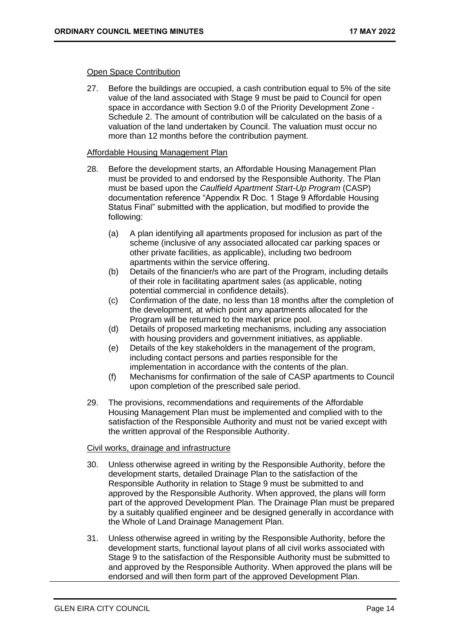# Open Space Contribution

27. Before the buildings are occupied, a cash contribution equal to 5% of the site value of the land associated with Stage 9 must be paid to Council for open space in accordance with Section 9.0 of the Priority Development Zone - Schedule 2. The amount of contribution will be calculated on the basis of a valuation of the land undertaken by Council. The valuation must occur no more than 12 months before the contribution payment.

# Affordable Housing Management Plan

- 28. Before the development starts, an Affordable Housing Management Plan must be provided to and endorsed by the Responsible Authority. The Plan must be based upon the *Caulfield Apartment Start-Up Program* (CASP) documentation reference "Appendix R Doc. 1 Stage 9 Affordable Housing Status Final" submitted with the application, but modified to provide the following:
	- (a) A plan identifying all apartments proposed for inclusion as part of the scheme (inclusive of any associated allocated car parking spaces or other private facilities, as applicable), including two bedroom apartments within the service offering.
	- (b) Details of the financier/s who are part of the Program, including details of their role in facilitating apartment sales (as applicable, noting potential commercial in confidence details).
	- (c) Confirmation of the date, no less than 18 months after the completion of the development, at which point any apartments allocated for the Program will be returned to the market price pool.
	- (d) Details of proposed marketing mechanisms, including any association with housing providers and government initiatives, as appliable.
	- (e) Details of the key stakeholders in the management of the program, including contact persons and parties responsible for the implementation in accordance with the contents of the plan.
	- (f) Mechanisms for confirmation of the sale of CASP apartments to Council upon completion of the prescribed sale period.
- 29. The provisions, recommendations and requirements of the Affordable Housing Management Plan must be implemented and complied with to the satisfaction of the Responsible Authority and must not be varied except with the written approval of the Responsible Authority.

# Civil works, drainage and infrastructure

- 30. Unless otherwise agreed in writing by the Responsible Authority, before the development starts, detailed Drainage Plan to the satisfaction of the Responsible Authority in relation to Stage 9 must be submitted to and approved by the Responsible Authority. When approved, the plans will form part of the approved Development Plan. The Drainage Plan must be prepared by a suitably qualified engineer and be designed generally in accordance with the Whole of Land Drainage Management Plan.
- 31. Unless otherwise agreed in writing by the Responsible Authority, before the development starts, functional layout plans of all civil works associated with Stage 9 to the satisfaction of the Responsible Authority must be submitted to and approved by the Responsible Authority. When approved the plans will be endorsed and will then form part of the approved Development Plan.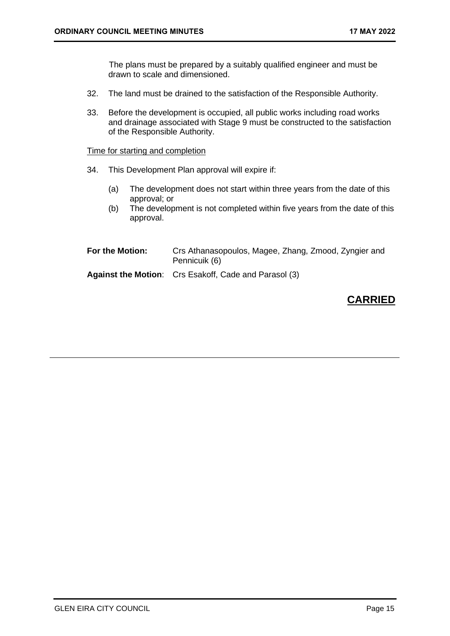The plans must be prepared by a suitably qualified engineer and must be drawn to scale and dimensioned.

- 32. The land must be drained to the satisfaction of the Responsible Authority.
- 33. Before the development is occupied, all public works including road works and drainage associated with Stage 9 must be constructed to the satisfaction of the Responsible Authority.

Time for starting and completion

- 34. This Development Plan approval will expire if:
	- (a) The development does not start within three years from the date of this approval; or
	- (b) The development is not completed within five years from the date of this approval.

| For the Motion: | Crs Athanasopoulos, Magee, Zhang, Zmood, Zyngier and<br>Pennicuik (6) |
|-----------------|-----------------------------------------------------------------------|
|                 | <b>Against the Motion:</b> Crs Esakoff, Cade and Parasol (3)          |

# **CARRIED**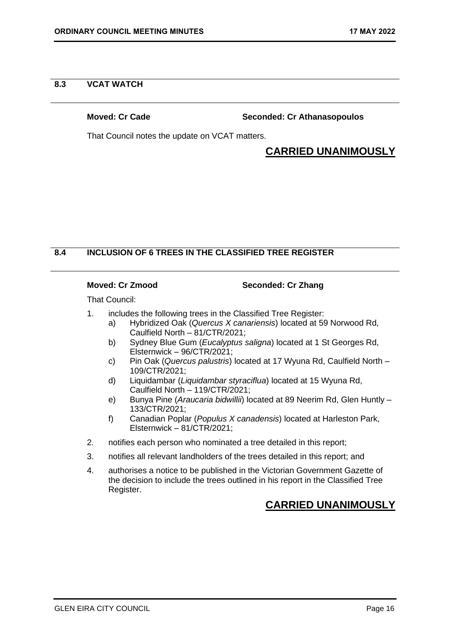# <span id="page-15-0"></span>**8.3 VCAT WATCH**

**Moved: Cr Cade Seconded: Cr Athanasopoulos**

That Council notes the update on VCAT matters.

# **CARRIED UNANIMOUSLY**

# **8.4 INCLUSION OF 6 TREES IN THE CLASSIFIED TREE REGISTER**

# **Moved: Cr Zmood Seconded: Cr Zhang**

That Council:

- 1. includes the following trees in the Classified Tree Register:
	- a) Hybridized Oak (*Quercus X canariensis*) located at 59 Norwood Rd, Caulfield North – 81/CTR/2021;
	- b) Sydney Blue Gum (*Eucalyptus saligna*) located at 1 St Georges Rd, Elsternwick – 96/CTR/2021;
	- c) Pin Oak (*Quercus palustris*) located at 17 Wyuna Rd, Caulfield North 109/CTR/2021;
	- d) Liquidambar (*Liquidambar styraciflua*) located at 15 Wyuna Rd, Caulfield North – 119/CTR/2021;
	- e) Bunya Pine (*Araucaria bidwillii*) located at 89 Neerim Rd, Glen Huntly 133/CTR/2021;
	- f) Canadian Poplar (*Populus X canadensis*) located at Harleston Park, Elsternwick – 81/CTR/2021;
- 2. notifies each person who nominated a tree detailed in this report;
- 3. notifies all relevant landholders of the trees detailed in this report; and
- 4. authorises a notice to be published in the Victorian Government Gazette of the decision to include the trees outlined in his report in the Classified Tree Register.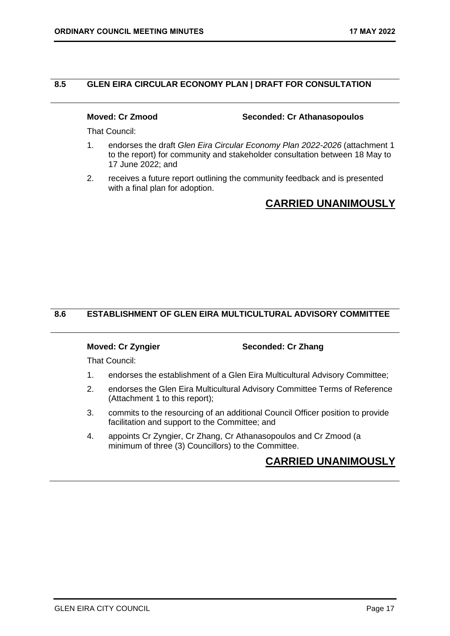# <span id="page-16-0"></span>**8.5 GLEN EIRA CIRCULAR ECONOMY PLAN | DRAFT FOR CONSULTATION**

**Moved: Cr Zmood Seconded: Cr Athanasopoulos**

That Council:

- 1. endorses the draft *Glen Eira Circular Economy Plan 2022-2026* (attachment 1 to the report) for community and stakeholder consultation between 18 May to 17 June 2022; and
- 2. receives a future report outlining the community feedback and is presented with a final plan for adoption.

# **CARRIED UNANIMOUSLY**

# **8.6 ESTABLISHMENT OF GLEN EIRA MULTICULTURAL ADVISORY COMMITTEE**

### **Moved: Cr Zyngier Seconded: Cr Zhang**

That Council:

- 1. endorses the establishment of a Glen Eira Multicultural Advisory Committee;
- 2. endorses the Glen Eira Multicultural Advisory Committee Terms of Reference (Attachment 1 to this report);
- 3. commits to the resourcing of an additional Council Officer position to provide facilitation and support to the Committee; and
- 4. appoints Cr Zyngier, Cr Zhang, Cr Athanasopoulos and Cr Zmood (a minimum of three (3) Councillors) to the Committee.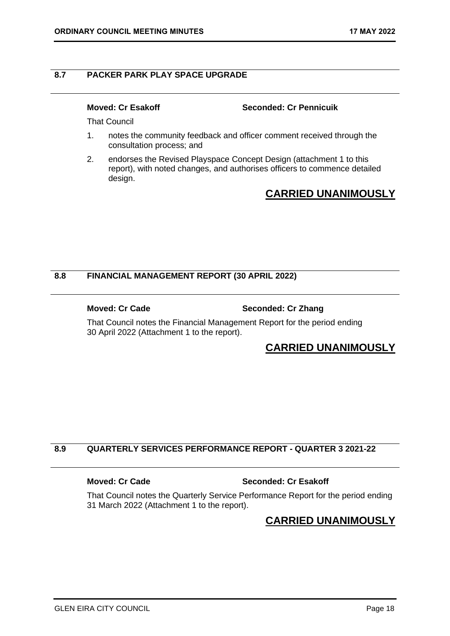# <span id="page-17-0"></span>**8.7 PACKER PARK PLAY SPACE UPGRADE**

**Moved: Cr Esakoff Seconded: Cr Pennicuik**

That Council

- 1. notes the community feedback and officer comment received through the consultation process; and
- 2. endorses the Revised Playspace Concept Design (attachment 1 to this report), with noted changes, and authorises officers to commence detailed design.

# **CARRIED UNANIMOUSLY**

# **8.8 FINANCIAL MANAGEMENT REPORT (30 APRIL 2022)**

### **Moved: Cr Cade Seconded: Cr Zhang**

That Council notes the Financial Management Report for the period ending 30 April 2022 (Attachment 1 to the report).

# **CARRIED UNANIMOUSLY**

# **8.9 QUARTERLY SERVICES PERFORMANCE REPORT - QUARTER 3 2021-22**

### **Moved: Cr Cade Seconded: Cr Esakoff**

That Council notes the Quarterly Service Performance Report for the period ending 31 March 2022 (Attachment 1 to the report).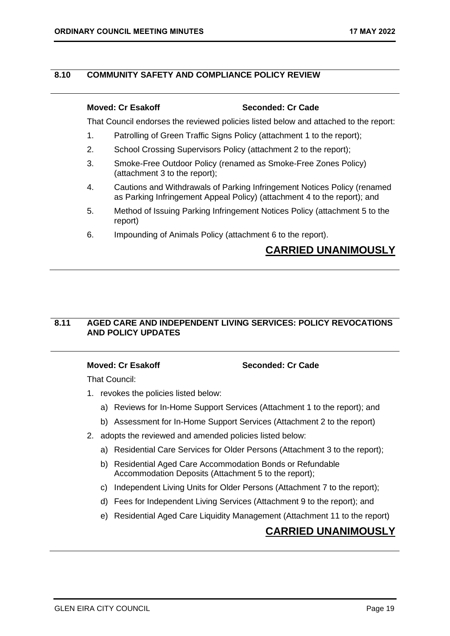# <span id="page-18-0"></span>**8.10 COMMUNITY SAFETY AND COMPLIANCE POLICY REVIEW**

# **Moved: Cr Esakoff Seconded: Cr Cade**

That Council endorses the reviewed policies listed below and attached to the report:

- 1. Patrolling of Green Traffic Signs Policy (attachment 1 to the report);
- 2. School Crossing Supervisors Policy (attachment 2 to the report);
- 3. Smoke-Free Outdoor Policy (renamed as Smoke-Free Zones Policy) (attachment 3 to the report);
- 4. Cautions and Withdrawals of Parking Infringement Notices Policy (renamed as Parking Infringement Appeal Policy) (attachment 4 to the report); and
- 5. Method of Issuing Parking Infringement Notices Policy (attachment 5 to the report)
- 6. Impounding of Animals Policy (attachment 6 to the report).

# **CARRIED UNANIMOUSLY**

# **8.11 AGED CARE AND INDEPENDENT LIVING SERVICES: POLICY REVOCATIONS AND POLICY UPDATES**

**Moved: Cr Esakoff Seconded: Cr Cade**

That Council:

- 1. revokes the policies listed below:
	- a) Reviews for In-Home Support Services (Attachment 1 to the report); and
	- b) Assessment for In-Home Support Services (Attachment 2 to the report)
- 2. adopts the reviewed and amended policies listed below:
	- a) Residential Care Services for Older Persons (Attachment 3 to the report);
	- b) Residential Aged Care Accommodation Bonds or Refundable Accommodation Deposits (Attachment 5 to the report);
	- c) Independent Living Units for Older Persons (Attachment 7 to the report);
	- d) Fees for Independent Living Services (Attachment 9 to the report); and
	- e) Residential Aged Care Liquidity Management (Attachment 11 to the report)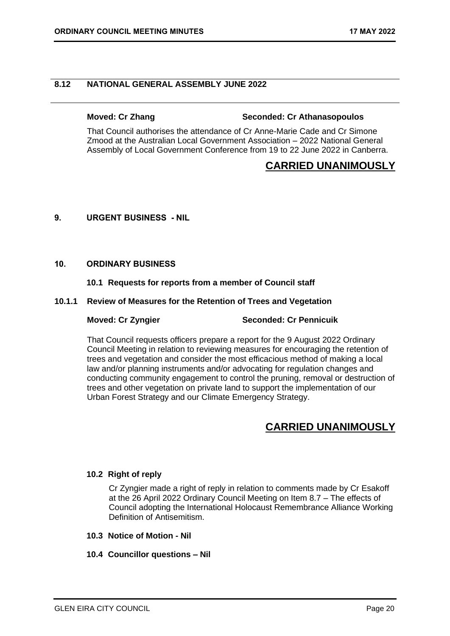# <span id="page-19-0"></span>**8.12 NATIONAL GENERAL ASSEMBLY JUNE 2022**

### **Moved: Cr Zhang Seconded: Cr Athanasopoulos**

That Council authorises the attendance of Cr Anne-Marie Cade and Cr Simone Zmood at the Australian Local Government Association – 2022 National General Assembly of Local Government Conference from 19 to 22 June 2022 in Canberra.

# **CARRIED UNANIMOUSLY**

### <span id="page-19-1"></span>**9. URGENT BUSINESS - NIL**

### <span id="page-19-3"></span><span id="page-19-2"></span>**10. ORDINARY BUSINESS**

### **10.1 Requests for reports from a member of Council staff**

### **10.1.1 Review of Measures for the Retention of Trees and Vegetation**

### **Moved: Cr Zyngier Seconded: Cr Pennicuik**

That Council requests officers prepare a report for the 9 August 2022 Ordinary Council Meeting in relation to reviewing measures for encouraging the retention of trees and vegetation and consider the most efficacious method of making a local law and/or planning instruments and/or advocating for regulation changes and conducting community engagement to control the pruning, removal or destruction of trees and other vegetation on private land to support the implementation of our Urban Forest Strategy and our Climate Emergency Strategy.

# **CARRIED UNANIMOUSLY**

# <span id="page-19-4"></span>**10.2 Right of reply**

Cr Zyngier made a right of reply in relation to comments made by Cr Esakoff at the 26 April 2022 Ordinary Council Meeting on Item 8.7 – The effects of Council adopting the International Holocaust Remembrance Alliance Working Definition of Antisemitism.

### <span id="page-19-6"></span><span id="page-19-5"></span>**10.3 Notice of Motion - Nil**

### **10.4 Councillor questions – Nil**